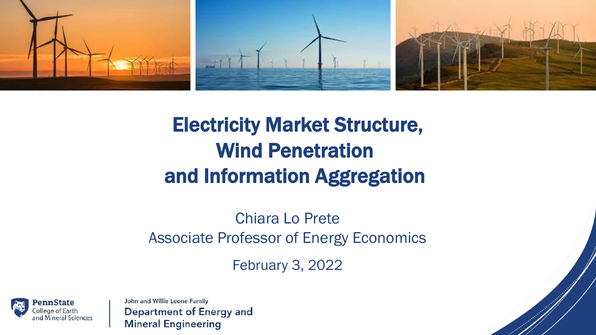

# Electricity Market Structure, Wind Penetration and Information Aggregation

Chiara Lo Prete Associate Professor of Energy Economics

February 3, 2022

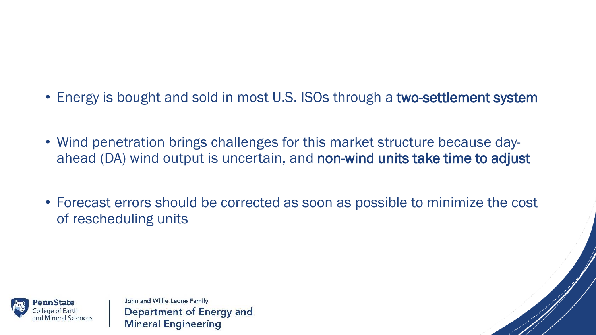- Energy is bought and sold in most U.S. ISOs through a two-settlement system
- Wind penetration brings challenges for this market structure because dayahead (DA) wind output is uncertain, and non-wind units take time to adjust
- Forecast errors should be corrected as soon as possible to minimize the cost of rescheduling units

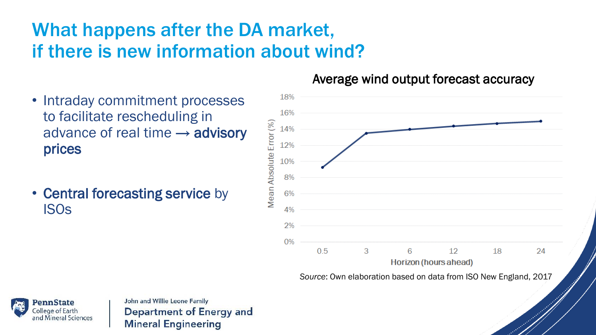## What happens after the DA market, if there is new information about wind?

- Intraday commitment processes to facilitate rescheduling in advance of real time  $\rightarrow$  advisory prices
- Central forecasting service by ISOs

#### Average wind output forecast accuracy



*Source*: Own elaboration based on data from ISO New England, 2017

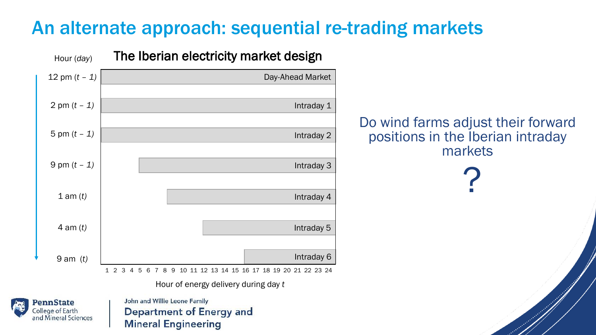### An alternate approach: sequential re-trading markets



Hour of energy delivery during day *t*



John and Willie Leone Family **Department of Energy and Mineral Engineering** 

Do wind farms adjust their forward positions in the Iberian intraday markets

?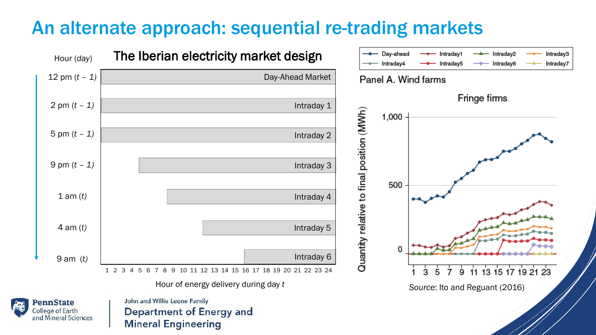### An alternate approach: sequential re-trading markets



Hour of energy delivery during day *t*



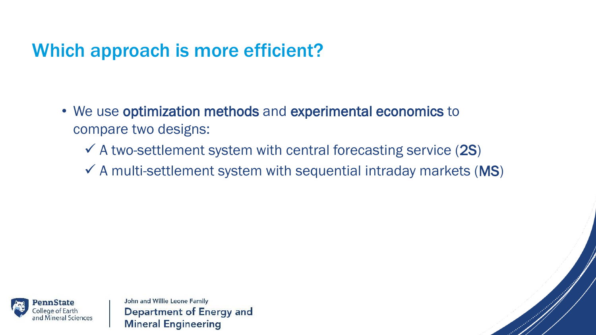## Which approach is more efficient?

- We use optimization methods and experimental economics to compare two designs:
	- $\checkmark$  A two-settlement system with central forecasting service (2S)
	- $\checkmark$  A multi-settlement system with sequential intraday markets (MS)

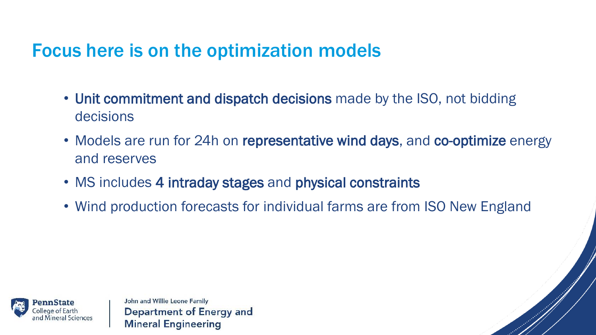### Focus here is on the optimization models

- Unit commitment and dispatch decisions made by the ISO, not bidding decisions
- Models are run for 24h on representative wind days, and co-optimize energy and reserves
- MS includes 4 intraday stages and physical constraints
- Wind production forecasts for individual farms are from ISO New England

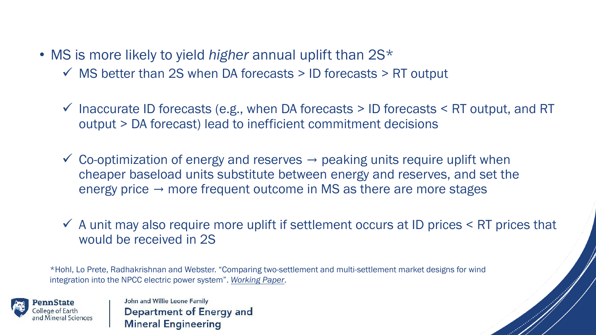• MS is more likely to yield *higher* annual uplift than 2S\*

- $\checkmark$  MS better than 2S when DA forecasts > ID forecasts > RT output
- $\checkmark$  Inaccurate ID forecasts (e.g., when DA forecasts > ID forecasts < RT output, and RT output > DA forecast) lead to inefficient commitment decisions
- $\checkmark$  Co-optimization of energy and reserves  $\rightarrow$  peaking units require uplift when cheaper baseload units substitute between energy and reserves, and set the energy price  $\rightarrow$  more frequent outcome in MS as there are more stages
- $\checkmark$  A unit may also require more uplift if settlement occurs at ID prices  $\leq$  RT prices that would be received in 2S

\*Hohl, Lo Prete, Radhakrishnan and Webster. "Comparing two-settlement and multi-settlement market designs for wind integration into the NPCC electric power system". *[Working Paper](https://sites.psu.edu/chiaraloprete/files/2018/11/Manuscript_080821.pdf)*.